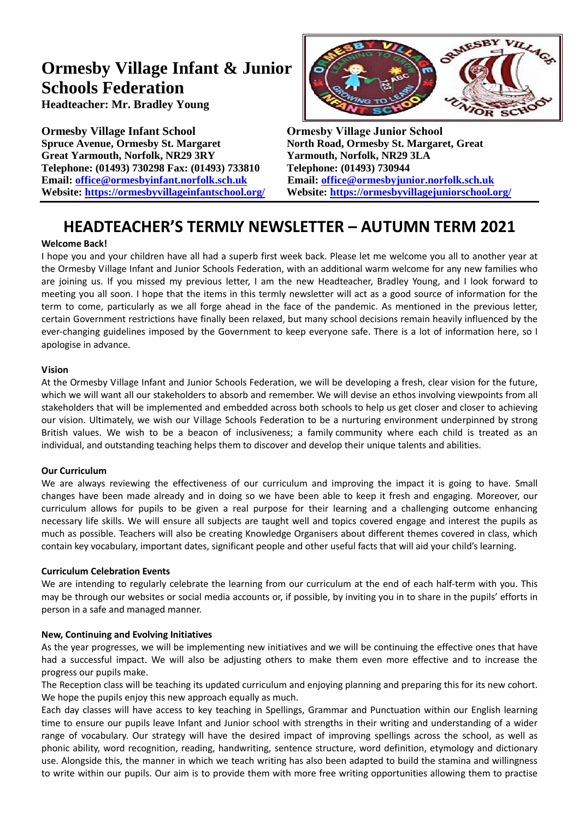# **Ormesby Village Infant & Junior Schools Federation**

**Headteacher: Mr. Bradley Young**

**Ormesby Village Infant School Ormesby Village Junior School Spruce Avenue, Ormesby St. Margaret North Road, Ormesby St. Margaret, Great Great Yarmouth, Norfolk, NR29 3RY Yarmouth, Norfolk, NR29 3LA Telephone: (01493) 730298 Fax: (01493) 733810 Telephone: (01493) 730944 Email: [office@ormesbyinfant.norfolk.sch.uk](mailto:office@ormesbyinfant.norfolk.sch.uk) Email: [office@ormesbyjunior.norfolk.sch.uk](mailto:office@ormesbyjunior.norfolk.sch.uk) Website: <https://ormesbyvillageinfantschool.org/>Website: <https://ormesbyvillagejuniorschool.org/>**



# **HEADTEACHER'S TERMLY NEWSLETTER – AUTUMN TERM 2021**

# **Welcome Back!**

I hope you and your children have all had a superb first week back. Please let me welcome you all to another year at the Ormesby Village Infant and Junior Schools Federation, with an additional warm welcome for any new families who are joining us. If you missed my previous letter, I am the new Headteacher, Bradley Young, and I look forward to meeting you all soon. I hope that the items in this termly newsletter will act as a good source of information for the term to come, particularly as we all forge ahead in the face of the pandemic. As mentioned in the previous letter, certain Government restrictions have finally been relaxed, but many school decisions remain heavily influenced by the ever-changing guidelines imposed by the Government to keep everyone safe. There is a lot of information here, so I apologise in advance.

# **Vision**

At the Ormesby Village Infant and Junior Schools Federation, we will be developing a fresh, clear vision for the future, which we will want all our stakeholders to absorb and remember. We will devise an ethos involving viewpoints from all stakeholders that will be implemented and embedded across both schools to help us get closer and closer to achieving our vision. Ultimately, we wish our Village Schools Federation to be a nurturing environment underpinned by strong British values. We wish to be a beacon of inclusiveness; a family community where each child is treated as an individual, and outstanding teaching helps them to discover and develop their unique talents and abilities.

# **Our Curriculum**

We are always reviewing the effectiveness of our curriculum and improving the impact it is going to have. Small changes have been made already and in doing so we have been able to keep it fresh and engaging. Moreover, our curriculum allows for pupils to be given a real purpose for their learning and a challenging outcome enhancing necessary life skills. We will ensure all subjects are taught well and topics covered engage and interest the pupils as much as possible. Teachers will also be creating Knowledge Organisers about different themes covered in class, which contain key vocabulary, important dates, significant people and other useful facts that will aid your child's learning.

# **Curriculum Celebration Events**

We are intending to regularly celebrate the learning from our curriculum at the end of each half-term with you. This may be through our websites or social media accounts or, if possible, by inviting you in to share in the pupils' efforts in person in a safe and managed manner.

# **New, Continuing and Evolving Initiatives**

As the year progresses, we will be implementing new initiatives and we will be continuing the effective ones that have had a successful impact. We will also be adjusting others to make them even more effective and to increase the progress our pupils make.

The Reception class will be teaching its updated curriculum and enjoying planning and preparing this for its new cohort. We hope the pupils enjoy this new approach equally as much.

Each day classes will have access to key teaching in Spellings, Grammar and Punctuation within our English learning time to ensure our pupils leave Infant and Junior school with strengths in their writing and understanding of a wider range of vocabulary. Our strategy will have the desired impact of improving spellings across the school, as well as phonic ability, word recognition, reading, handwriting, sentence structure, word definition, etymology and dictionary use. Alongside this, the manner in which we teach writing has also been adapted to build the stamina and willingness to write within our pupils. Our aim is to provide them with more free writing opportunities allowing them to practise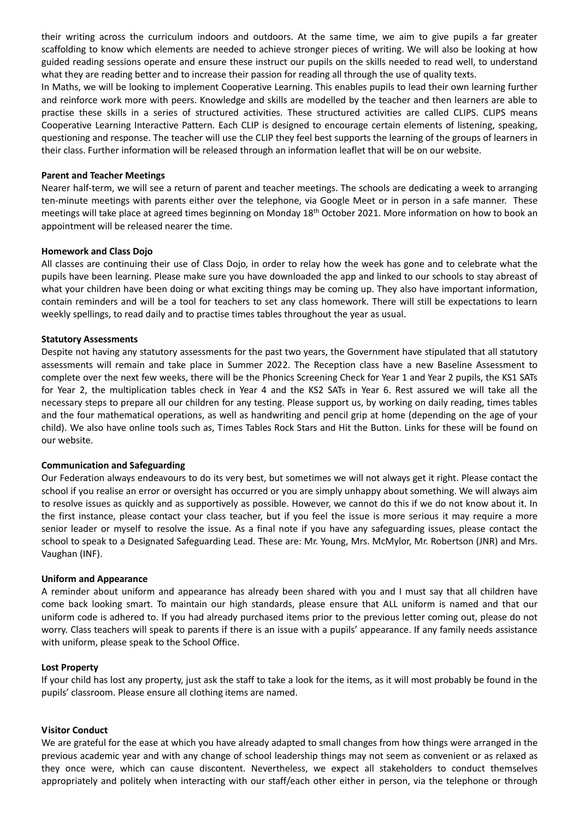their writing across the curriculum indoors and outdoors. At the same time, we aim to give pupils a far greater scaffolding to know which elements are needed to achieve stronger pieces of writing. We will also be looking at how guided reading sessions operate and ensure these instruct our pupils on the skills needed to read well, to understand what they are reading better and to increase their passion for reading all through the use of quality texts.

In Maths, we will be looking to implement Cooperative Learning. This enables pupils to lead their own learning further and reinforce work more with peers. Knowledge and skills are modelled by the teacher and then learners are able to practise these skills in a series of structured activities. These structured activities are called CLIPS. CLIPS means Cooperative Learning Interactive Pattern. Each CLIP is designed to encourage certain elements of listening, speaking, questioning and response. The teacher will use the CLIP they feel best supports the learning of the groups of learners in their class. Further information will be released through an information leaflet that will be on our website.

#### **Parent and Teacher Meetings**

Nearer half-term, we will see a return of parent and teacher meetings. The schools are dedicating a week to arranging ten-minute meetings with parents either over the telephone, via Google Meet or in person in a safe manner. These meetings will take place at agreed times beginning on Monday 18<sup>th</sup> October 2021. More information on how to book an appointment will be released nearer the time.

#### **Homework and Class Dojo**

All classes are continuing their use of Class Dojo, in order to relay how the week has gone and to celebrate what the pupils have been learning. Please make sure you have downloaded the app and linked to our schools to stay abreast of what your children have been doing or what exciting things may be coming up. They also have important information, contain reminders and will be a tool for teachers to set any class homework. There will still be expectations to learn weekly spellings, to read daily and to practise times tables throughout the year as usual.

#### **Statutory Assessments**

Despite not having any statutory assessments for the past two years, the Government have stipulated that all statutory assessments will remain and take place in Summer 2022. The Reception class have a new Baseline Assessment to complete over the next few weeks, there will be the Phonics Screening Check for Year 1 and Year 2 pupils, the KS1 SATs for Year 2, the multiplication tables check in Year 4 and the KS2 SATs in Year 6. Rest assured we will take all the necessary steps to prepare all our children for any testing. Please support us, by working on daily reading, times tables and the four mathematical operations, as well as handwriting and pencil grip at home (depending on the age of your child). We also have online tools such as, Times Tables Rock Stars and Hit the Button. Links for these will be found on our website.

#### **Communication and Safeguarding**

Our Federation always endeavours to do its very best, but sometimes we will not always get it right. Please contact the school if you realise an error or oversight has occurred or you are simply unhappy about something. We will always aim to resolve issues as quickly and as supportively as possible. However, we cannot do this if we do not know about it. In the first instance, please contact your class teacher, but if you feel the issue is more serious it may require a more senior leader or myself to resolve the issue. As a final note if you have any safeguarding issues, please contact the school to speak to a Designated Safeguarding Lead. These are: Mr. Young, Mrs. McMylor, Mr. Robertson (JNR) and Mrs. Vaughan (INF).

#### **Uniform and Appearance**

A reminder about uniform and appearance has already been shared with you and I must say that all children have come back looking smart. To maintain our high standards, please ensure that ALL uniform is named and that our uniform code is adhered to. If you had already purchased items prior to the previous letter coming out, please do not worry. Class teachers will speak to parents if there is an issue with a pupils' appearance. If any family needs assistance with uniform, please speak to the School Office.

#### **Lost Property**

If your child has lost any property, just ask the staff to take a look for the items, as it will most probably be found in the pupils' classroom. Please ensure all clothing items are named.

#### **Visitor Conduct**

We are grateful for the ease at which you have already adapted to small changes from how things were arranged in the previous academic year and with any change of school leadership things may not seem as convenient or as relaxed as they once were, which can cause discontent. Nevertheless, we expect all stakeholders to conduct themselves appropriately and politely when interacting with our staff/each other either in person, via the telephone or through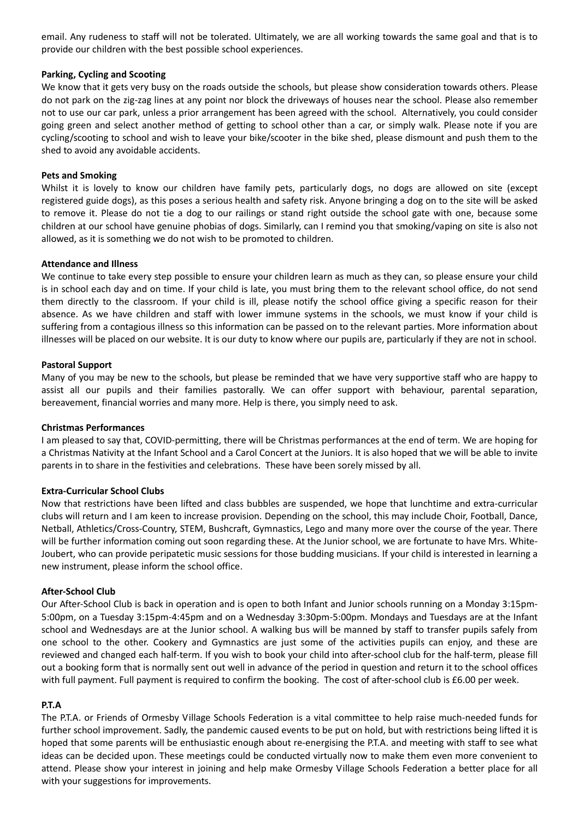email. Any rudeness to staff will not be tolerated. Ultimately, we are all working towards the same goal and that is to provide our children with the best possible school experiences.

#### **Parking, Cycling and Scooting**

We know that it gets very busy on the roads outside the schools, but please show consideration towards others. Please do not park on the zig-zag lines at any point nor block the driveways of houses near the school. Please also remember not to use our car park, unless a prior arrangement has been agreed with the school. Alternatively, you could consider going green and select another method of getting to school other than a car, or simply walk. Please note if you are cycling/scooting to school and wish to leave your bike/scooter in the bike shed, please dismount and push them to the shed to avoid any avoidable accidents.

#### **Pets and Smoking**

Whilst it is lovely to know our children have family pets, particularly dogs, no dogs are allowed on site (except registered guide dogs), as this poses a serious health and safety risk. Anyone bringing a dog on to the site will be asked to remove it. Please do not tie a dog to our railings or stand right outside the school gate with one, because some children at our school have genuine phobias of dogs. Similarly, can I remind you that smoking/vaping on site is also not allowed, as it is something we do not wish to be promoted to children.

#### **Attendance and Illness**

We continue to take every step possible to ensure your children learn as much as they can, so please ensure your child is in school each day and on time. If your child is late, you must bring them to the relevant school office, do not send them directly to the classroom. If your child is ill, please notify the school office giving a specific reason for their absence. As we have children and staff with lower immune systems in the schools, we must know if your child is suffering from a contagious illness so this information can be passed on to the relevant parties. More information about illnesses will be placed on our website. It is our duty to know where our pupils are, particularly if they are not in school.

#### **Pastoral Support**

Many of you may be new to the schools, but please be reminded that we have very supportive staff who are happy to assist all our pupils and their families pastorally. We can offer support with behaviour, parental separation, bereavement, financial worries and many more. Help is there, you simply need to ask.

#### **Christmas Performances**

I am pleased to say that, COVID-permitting, there will be Christmas performances at the end of term. We are hoping for a Christmas Nativity at the Infant School and a Carol Concert at the Juniors. It is also hoped that we will be able to invite parents in to share in the festivities and celebrations. These have been sorely missed by all.

#### **Extra-Curricular School Clubs**

Now that restrictions have been lifted and class bubbles are suspended, we hope that lunchtime and extra-curricular clubs will return and I am keen to increase provision. Depending on the school, this may include Choir, Football, Dance, Netball, Athletics/Cross-Country, STEM, Bushcraft, Gymnastics, Lego and many more over the course of the year. There will be further information coming out soon regarding these. At the Junior school, we are fortunate to have Mrs. White-Joubert, who can provide peripatetic music sessions for those budding musicians. If your child is interested in learning a new instrument, please inform the school office.

#### **After-School Club**

Our After-School Club is back in operation and is open to both Infant and Junior schools running on a Monday 3:15pm-5:00pm, on a Tuesday 3:15pm-4:45pm and on a Wednesday 3:30pm-5:00pm. Mondays and Tuesdays are at the Infant school and Wednesdays are at the Junior school. A walking bus will be manned by staff to transfer pupils safely from one school to the other. Cookery and Gymnastics are just some of the activities pupils can enjoy, and these are reviewed and changed each half-term. If you wish to book your child into after-school club for the half-term, please fill out a booking form that is normally sent out well in advance of the period in question and return it to the school offices with full payment. Full payment is required to confirm the booking. The cost of after-school club is £6.00 per week.

#### **P.T.A**

The P.T.A. or Friends of Ormesby Village Schools Federation is a vital committee to help raise much-needed funds for further school improvement. Sadly, the pandemic caused events to be put on hold, but with restrictions being lifted it is hoped that some parents will be enthusiastic enough about re-energising the P.T.A. and meeting with staff to see what ideas can be decided upon. These meetings could be conducted virtually now to make them even more convenient to attend. Please show your interest in joining and help make Ormesby Village Schools Federation a better place for all with your suggestions for improvements.